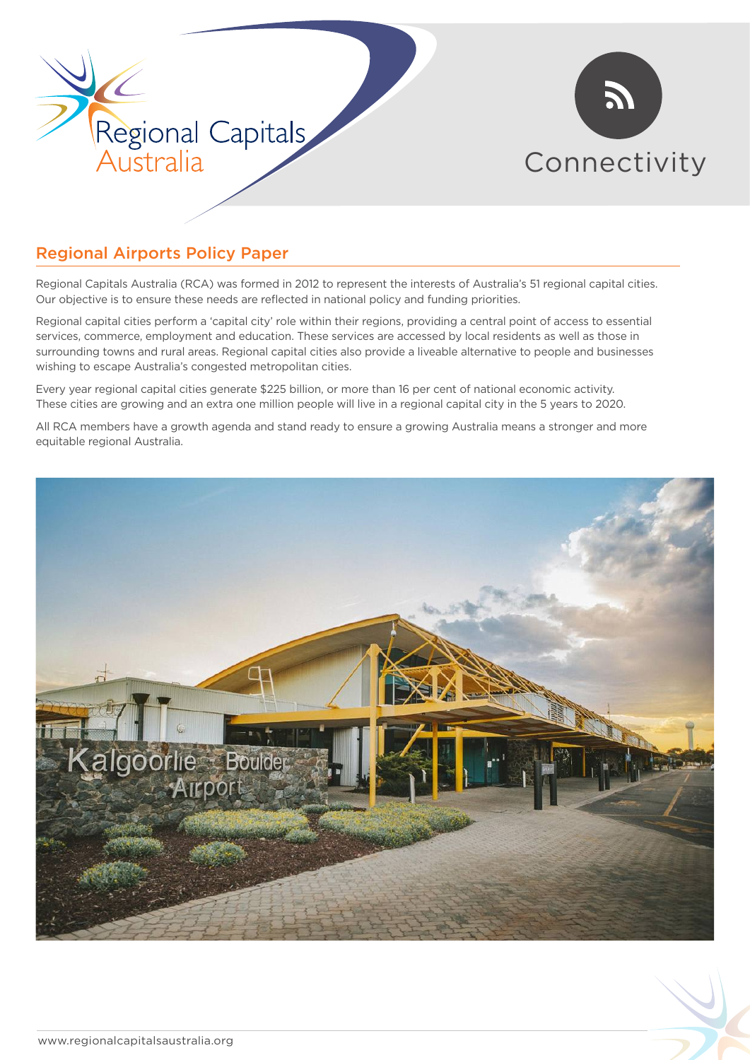



# Regional Airports Policy Paper

Regional Capitals Australia (RCA) was formed in 2012 to represent the interests of Australia's 51 regional capital cities. Our objective is to ensure these needs are reflected in national policy and funding priorities.

Regional capital cities perform a 'capital city' role within their regions, providing a central point of access to essential services, commerce, employment and education. These services are accessed by local residents as well as those in surrounding towns and rural areas. Regional capital cities also provide a liveable alternative to people and businesses wishing to escape Australia's congested metropolitan cities.

Every year regional capital cities generate \$225 billion, or more than 16 per cent of national economic activity. These cities are growing and an extra one million people will live in a regional capital city in the 5 years to 2020.

All RCA members have a growth agenda and stand ready to ensure a growing Australia means a stronger and more equitable regional Australia.

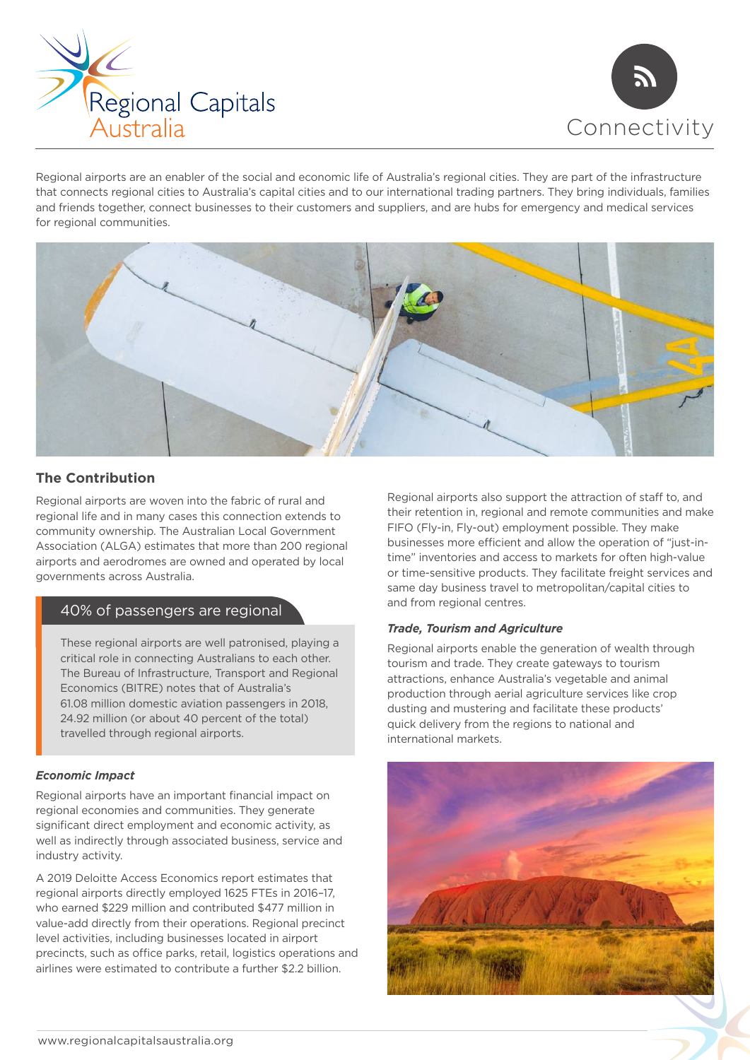



Regional airports are an enabler of the social and economic life of Australia's regional cities. They are part of the infrastructure that connects regional cities to Australia's capital cities and to our international trading partners. They bring individuals, families and friends together, connect businesses to their customers and suppliers, and are hubs for emergency and medical services for regional communities.



# **The Contribution**

Regional airports are woven into the fabric of rural and regional life and in many cases this connection extends to community ownership. The Australian Local Government Association (ALGA) estimates that more than 200 regional airports and aerodromes are owned and operated by local governments across Australia.

# 40% of passengers are regional

These regional airports are well patronised, playing a critical role in connecting Australians to each other. The Bureau of Infrastructure, Transport and Regional Economics (BITRE) notes that of Australia's 61.08 million domestic aviation passengers in 2018, 24.92 million (or about 40 percent of the total) travelled through regional airports.

### *Economic Impact*

Regional airports have an important financial impact on regional economies and communities. They generate significant direct employment and economic activity, as well as indirectly through associated business, service and industry activity.

A 2019 Deloitte Access Economics report estimates that regional airports directly employed 1625 FTEs in 2016–17, who earned \$229 million and contributed \$477 million in value-add directly from their operations. Regional precinct level activities, including businesses located in airport precincts, such as office parks, retail, logistics operations and airlines were estimated to contribute a further \$2.2 billion.

Regional airports also support the attraction of staff to, and their retention in, regional and remote communities and make FIFO (Fly-in, Fly-out) employment possible. They make businesses more efficient and allow the operation of "just-intime" inventories and access to markets for often high-value or time-sensitive products. They facilitate freight services and same day business travel to metropolitan/capital cities to and from regional centres.

### *Trade, Tourism and Agriculture*

Regional airports enable the generation of wealth through tourism and trade. They create gateways to tourism attractions, enhance Australia's vegetable and animal production through aerial agriculture services like crop dusting and mustering and facilitate these products' quick delivery from the regions to national and international markets.

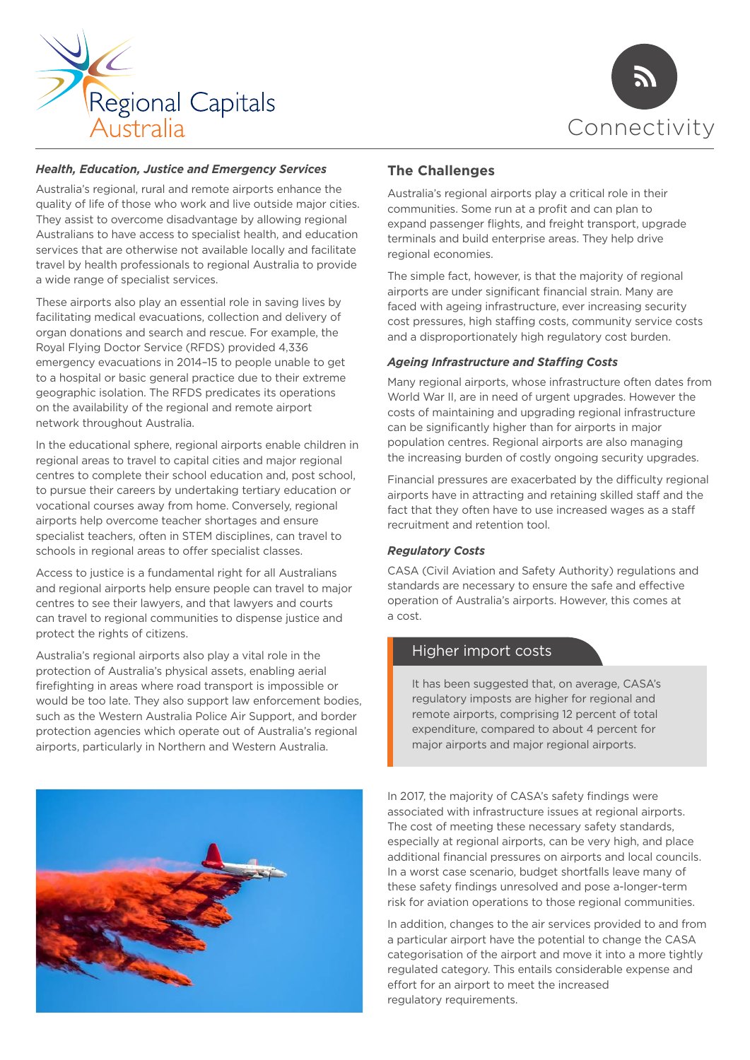



## *Health, Education, Justice and Emergency Services*

Australia's regional, rural and remote airports enhance the quality of life of those who work and live outside major cities. They assist to overcome disadvantage by allowing regional Australians to have access to specialist health, and education services that are otherwise not available locally and facilitate travel by health professionals to regional Australia to provide a wide range of specialist services.

These airports also play an essential role in saving lives by facilitating medical evacuations, collection and delivery of organ donations and search and rescue. For example, the Royal Flying Doctor Service (RFDS) provided 4,336 emergency evacuations in 2014–15 to people unable to get to a hospital or basic general practice due to their extreme geographic isolation. The RFDS predicates its operations on the availability of the regional and remote airport network throughout Australia.

In the educational sphere, regional airports enable children in regional areas to travel to capital cities and major regional centres to complete their school education and, post school, to pursue their careers by undertaking tertiary education or vocational courses away from home. Conversely, regional airports help overcome teacher shortages and ensure specialist teachers, often in STEM disciplines, can travel to schools in regional areas to offer specialist classes.

Access to justice is a fundamental right for all Australians and regional airports help ensure people can travel to major centres to see their lawyers, and that lawyers and courts can travel to regional communities to dispense justice and protect the rights of citizens.

Australia's regional airports also play a vital role in the protection of Australia's physical assets, enabling aerial firefighting in areas where road transport is impossible or would be too late. They also support law enforcement bodies, such as the Western Australia Police Air Support, and border protection agencies which operate out of Australia's regional airports, particularly in Northern and Western Australia.



# **The Challenges**

Australia's regional airports play a critical role in their communities. Some run at a profit and can plan to expand passenger flights, and freight transport, upgrade terminals and build enterprise areas. They help drive regional economies.

The simple fact, however, is that the majority of regional airports are under significant financial strain. Many are faced with ageing infrastructure, ever increasing security cost pressures, high staffing costs, community service costs and a disproportionately high regulatory cost burden.

### *Ageing Infrastructure and Stafng Costs*

Many regional airports, whose infrastructure often dates from World War II, are in need of urgent upgrades. However the costs of maintaining and upgrading regional infrastructure can be significantly higher than for airports in major population centres. Regional airports are also managing the increasing burden of costly ongoing security upgrades.

Financial pressures are exacerbated by the difficulty regional airports have in attracting and retaining skilled staff and the fact that they often have to use increased wages as a staff recruitment and retention tool.

### *Regulatory Costs*

CASA (Civil Aviation and Safety Authority) regulations and standards are necessary to ensure the safe and efective operation of Australia's airports. However, this comes at a cost.

## Higher import costs

It has been suggested that, on average, CASA's regulatory imposts are higher for regional and remote airports, comprising 12 percent of total expenditure, compared to about 4 percent for major airports and major regional airports.

In 2017, the majority of CASA's safety findings were associated with infrastructure issues at regional airports. The cost of meeting these necessary safety standards, especially at regional airports, can be very high, and place additional financial pressures on airports and local councils. In a worst case scenario, budget shortfalls leave many of these safety findings unresolved and pose a-longer-term risk for aviation operations to those regional communities.

In addition, changes to the air services provided to and from a particular airport have the potential to change the CASA categorisation of the airport and move it into a more tightly regulated category. This entails considerable expense and effort for an airport to meet the increased regulatory requirements.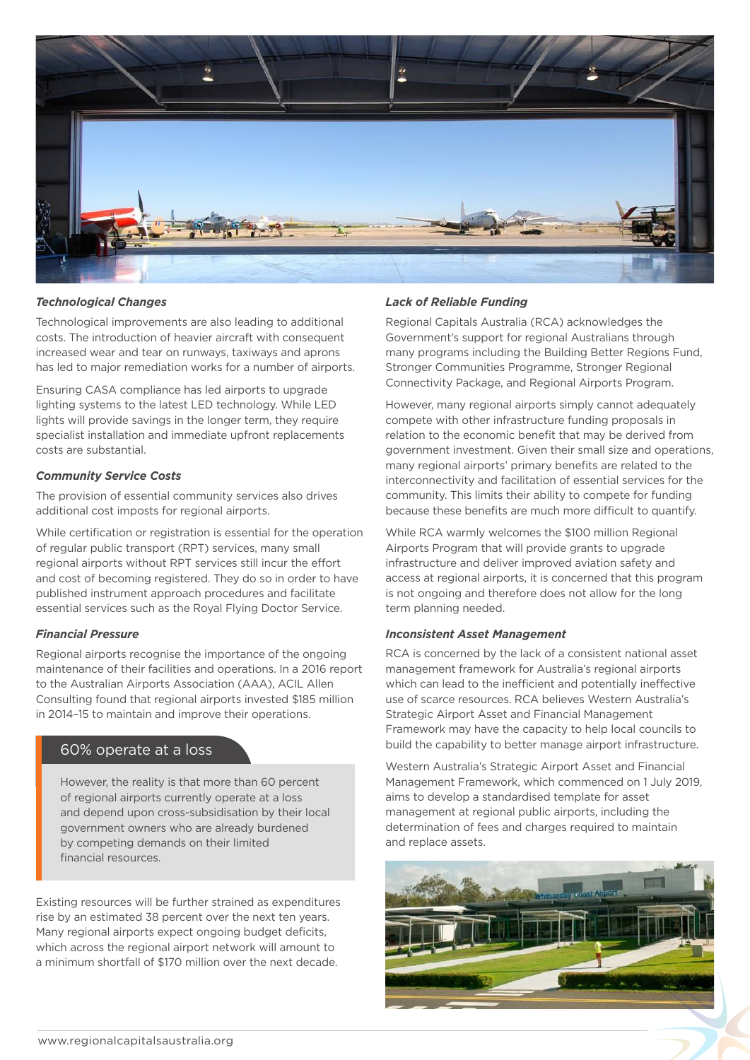

### *Technological Changes*

Technological improvements are also leading to additional costs. The introduction of heavier aircraft with consequent increased wear and tear on runways, taxiways and aprons has led to major remediation works for a number of airports.

Ensuring CASA compliance has led airports to upgrade lighting systems to the latest LED technology. While LED lights will provide savings in the longer term, they require specialist installation and immediate upfront replacements costs are substantial.

#### *Community Service Costs*

The provision of essential community services also drives additional cost imposts for regional airports.

While certification or registration is essential for the operation of regular public transport (RPT) services, many small regional airports without RPT services still incur the effort and cost of becoming registered. They do so in order to have published instrument approach procedures and facilitate essential services such as the Royal Flying Doctor Service.

#### *Financial Pressure*

Regional airports recognise the importance of the ongoing maintenance of their facilities and operations. In a 2016 report to the Australian Airports Association (AAA), ACIL Allen Consulting found that regional airports invested \$185 million in 2014–15 to maintain and improve their operations.

## 60% operate at a loss

However, the reality is that more than 60 percent of regional airports currently operate at a loss and depend upon cross-subsidisation by their local government owners who are already burdened by competing demands on their limited financial resources.

Existing resources will be further strained as expenditures rise by an estimated 38 percent over the next ten years. Many regional airports expect ongoing budget deficits, which across the regional airport network will amount to a minimum shortfall of \$170 million over the next decade.

#### *Lack of Reliable Funding*

Regional Capitals Australia (RCA) acknowledges the Government's support for regional Australians through many programs including the Building Better Regions Fund, Stronger Communities Programme, Stronger Regional Connectivity Package, and Regional Airports Program.

However, many regional airports simply cannot adequately compete with other infrastructure funding proposals in relation to the economic benefit that may be derived from government investment. Given their small size and operations, many regional airports' primary benefits are related to the interconnectivity and facilitation of essential services for the community. This limits their ability to compete for funding because these benefits are much more difficult to quantify.

While RCA warmly welcomes the \$100 million Regional Airports Program that will provide grants to upgrade infrastructure and deliver improved aviation safety and access at regional airports, it is concerned that this program is not ongoing and therefore does not allow for the long term planning needed.

#### *Inconsistent Asset Management*

RCA is concerned by the lack of a consistent national asset management framework for Australia's regional airports which can lead to the inefficient and potentially ineffective use of scarce resources. RCA believes Western Australia's Strategic Airport Asset and Financial Management Framework may have the capacity to help local councils to build the capability to better manage airport infrastructure.

Western Australia's Strategic Airport Asset and Financial Management Framework, which commenced on 1 July 2019, aims to develop a standardised template for asset management at regional public airports, including the determination of fees and charges required to maintain and replace assets.

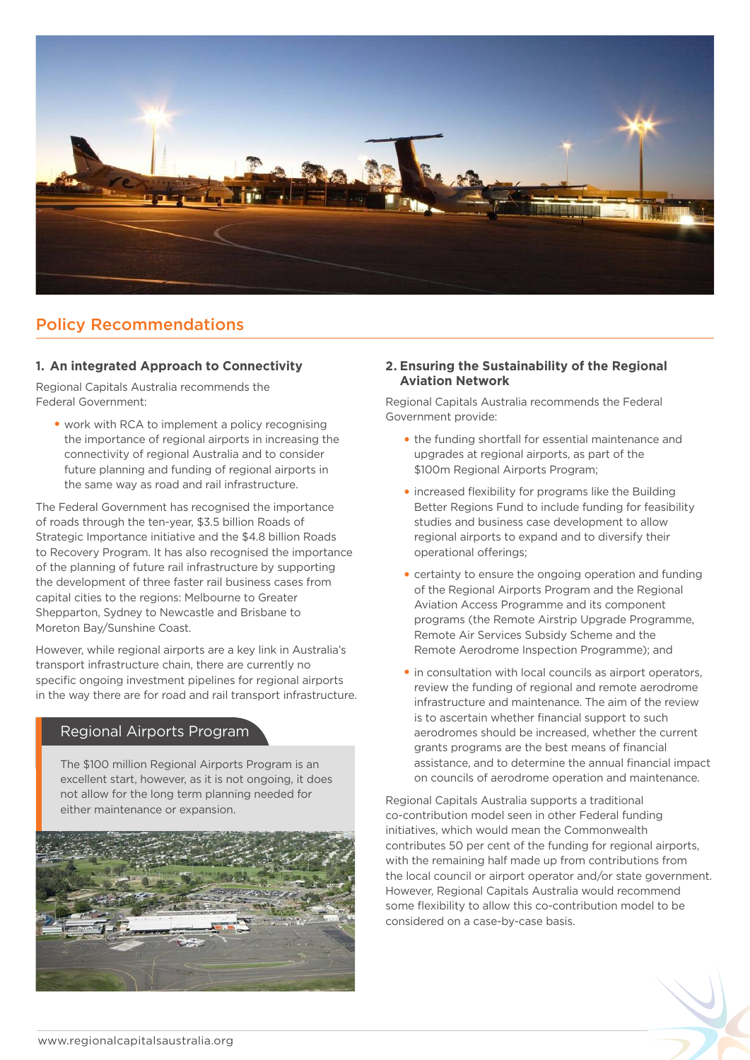

# Policy Recommendations

## **1. An integrated Approach to Connectivity**

Regional Capitals Australia recommends the Federal Government:

**•** work with RCA to implement a policy recognising the importance of regional airports in increasing the connectivity of regional Australia and to consider future planning and funding of regional airports in the same way as road and rail infrastructure.

The Federal Government has recognised the importance of roads through the ten-year, \$3.5 billion Roads of Strategic Importance initiative and the \$4.8 billion Roads to Recovery Program. It has also recognised the importance of the planning of future rail infrastructure by supporting the development of three faster rail business cases from capital cities to the regions: Melbourne to Greater Shepparton, Sydney to Newcastle and Brisbane to Moreton Bay/Sunshine Coast.

However, while regional airports are a key link in Australia's transport infrastructure chain, there are currently no specific ongoing investment pipelines for regional airports in the way there are for road and rail transport infrastructure.

# Regional Airports Program

The \$100 million Regional Airports Program is an excellent start, however, as it is not ongoing, it does not allow for the long term planning needed for either maintenance or expansion.



## **2. Ensuring the Sustainability of the Regional Aviation Network**

Regional Capitals Australia recommends the Federal Government provide:

- **•** the funding shortfall for essential maintenance and upgrades at regional airports, as part of the \$100m Regional Airports Program;
- **•** increased flexibility for programs like the Building Better Regions Fund to include funding for feasibility studies and business case development to allow regional airports to expand and to diversify their operational offerings;
- **•** certainty to ensure the ongoing operation and funding of the Regional Airports Program and the Regional Aviation Access Programme and its component programs (the Remote Airstrip Upgrade Programme, Remote Air Services Subsidy Scheme and the Remote Aerodrome Inspection Programme); and
- **•** in consultation with local councils as airport operators, review the funding of regional and remote aerodrome infrastructure and maintenance. The aim of the review is to ascertain whether financial support to such aerodromes should be increased, whether the current grants programs are the best means of financial assistance, and to determine the annual financial impact on councils of aerodrome operation and maintenance.

Regional Capitals Australia supports a traditional co-contribution model seen in other Federal funding initiatives, which would mean the Commonwealth contributes 50 per cent of the funding for regional airports, with the remaining half made up from contributions from the local council or airport operator and/or state government. However, Regional Capitals Australia would recommend some flexibility to allow this co-contribution model to be considered on a case-by-case basis.